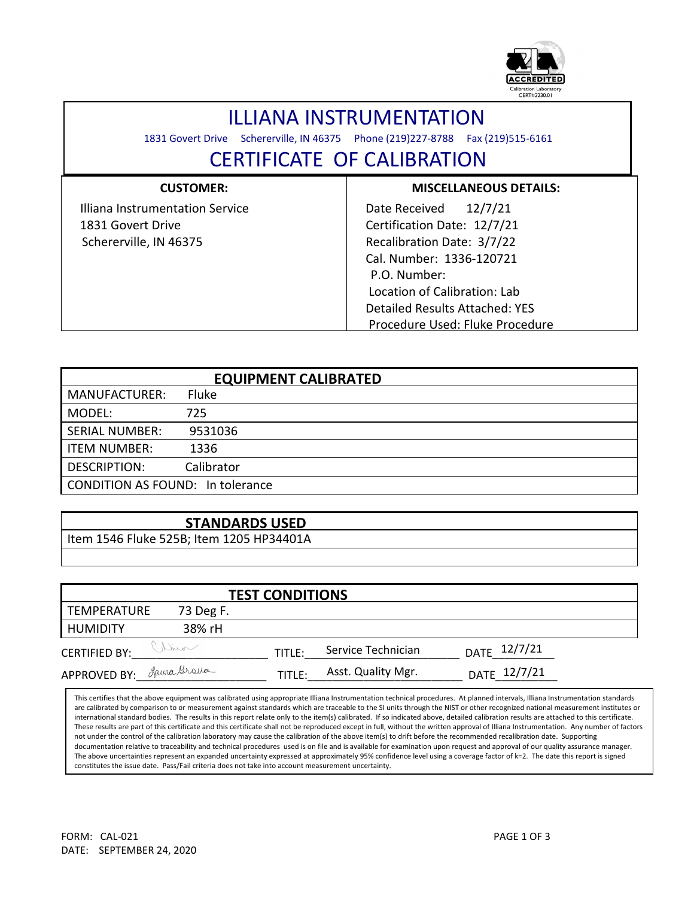

## ILLIANA INSTRUMENTATION

1831 Govert Drive Schererville, IN 46375 Phone (219)227-8788 Fax (219)515-6161

## CERTIFICATE OF CALIBRATION

| <b>CUSTOMER:</b>                | <b>MISCELLANEOUS DETAILS:</b>   |
|---------------------------------|---------------------------------|
| Illiana Instrumentation Service | 12/7/21<br>Date Received        |
| 1831 Govert Drive               | Certification Date: 12/7/21     |
| Schererville, IN 46375          | Recalibration Date: 3/7/22      |
|                                 | Cal. Number: 1336-120721        |
|                                 | P.O. Number:                    |
|                                 | Location of Calibration: Lab    |
|                                 | Detailed Results Attached: YES  |
|                                 | Procedure Used: Fluke Procedure |

| <b>EQUIPMENT CALIBRATED</b>             |            |  |  |  |  |
|-----------------------------------------|------------|--|--|--|--|
| <b>MANUFACTURER:</b>                    | Fluke      |  |  |  |  |
| MODEL:                                  | 725        |  |  |  |  |
| <b>SERIAL NUMBER:</b>                   | 9531036    |  |  |  |  |
| <b>ITEM NUMBER:</b>                     | 1336       |  |  |  |  |
| <b>DESCRIPTION:</b>                     | Calibrator |  |  |  |  |
| <b>CONDITION AS FOUND: In tolerance</b> |            |  |  |  |  |

## **STANDARDS USED**

Item 1546 Fluke 525B; Item 1205 HP34401A

| <b>TEST CONDITIONS</b>   |           |        |                    |              |  |  |  |  |
|--------------------------|-----------|--------|--------------------|--------------|--|--|--|--|
| TEMPERATURE              | 73 Deg F. |        |                    |              |  |  |  |  |
| <b>HUMIDITY</b>          | 38% rH    |        |                    |              |  |  |  |  |
| <b>CERTIFIED BY:</b>     | Variet    | TITLE: | Service Technician | DATE 12/7/21 |  |  |  |  |
| APPROVED BY: Laura Grana |           | TITLE: | Asst. Quality Mgr. | DATE 12/7/21 |  |  |  |  |

This certifies that the above equipment was calibrated using appropriate Illiana Instrumentation technical procedures. At planned intervals, Illiana Instrumentation standards are calibrated by comparison to or measurement against standards which are traceable to the SI units through the NIST or other recognized national measurement institutes or international standard bodies. The results in this report relate only to the item(s) calibrated. If so indicated above, detailed calibration results are attached to this certificate. These results are part of this certificate and this certificate shall not be reproduced except in full, without the written approval of Illiana Instrumentation. Any number of factors not under the control of the calibration laboratory may cause the calibration of the above item(s) to drift before the recommended recalibration date. Supporting documentation relative to traceability and technical procedures used is on file and is available for examination upon request and approval of our quality assurance manager. The above uncertainties represent an expanded uncertainty expressed at approximately 95% confidence level using a coverage factor of k=2. The date this report is signed constitutes the issue date. Pass/Fail criteria does not take into account measurement uncertainty.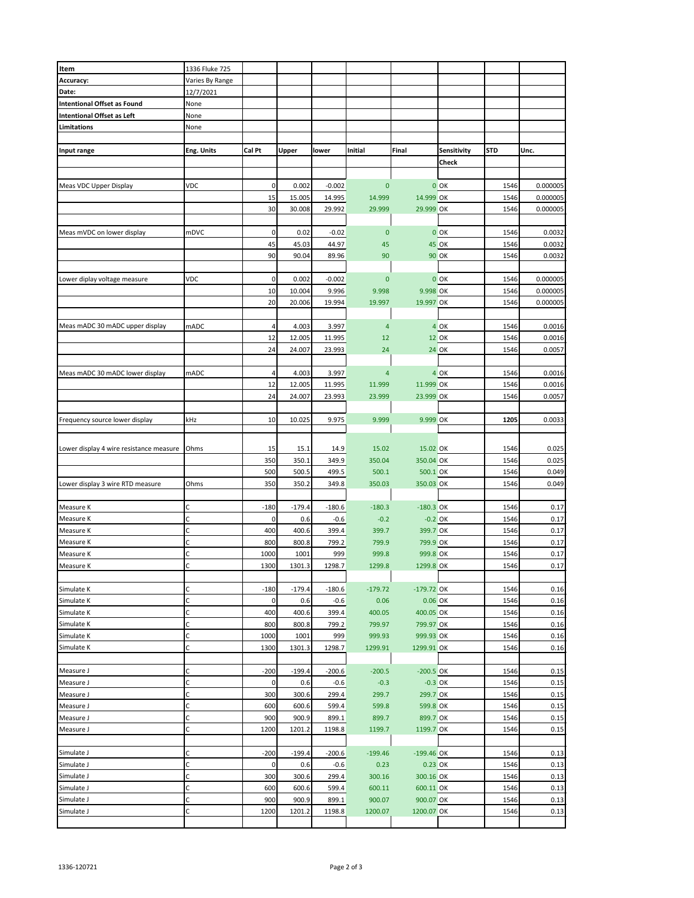| Item                                    | 1336 Fluke 725  |                |          |          |                |              |              |            |          |
|-----------------------------------------|-----------------|----------------|----------|----------|----------------|--------------|--------------|------------|----------|
|                                         |                 |                |          |          |                |              |              |            |          |
| Accuracy:                               | Varies By Range |                |          |          |                |              |              |            |          |
| Date:                                   | 12/7/2021       |                |          |          |                |              |              |            |          |
| <b>Intentional Offset as Found</b>      | None            |                |          |          |                |              |              |            |          |
| <b>Intentional Offset as Left</b>       | None            |                |          |          |                |              |              |            |          |
| Limitations                             | None            |                |          |          |                |              |              |            |          |
|                                         |                 |                |          |          |                |              |              |            |          |
|                                         |                 |                |          |          |                |              |              |            |          |
| Input range                             | Eng. Units      | Cal Pt         | Upper    | lower    | Initial        | Final        | Sensitivity  | <b>STD</b> | Unc.     |
|                                         |                 |                |          |          |                |              | Check        |            |          |
|                                         |                 |                |          |          |                |              |              |            |          |
| Meas VDC Upper Display                  | VDC             | 0              | 0.002    | $-0.002$ | $\mathbf{0}$   |              | $0$ OK       | 1546       | 0.000005 |
|                                         |                 | 15             | 15.005   | 14.995   |                |              |              |            | 0.000005 |
|                                         |                 |                |          |          | 14.999         | 14.999 OK    |              | 1546       |          |
|                                         |                 | 30             | 30.008   | 29.992   | 29.999         | 29.999 OK    |              | 1546       | 0.000005 |
|                                         |                 |                |          |          |                |              |              |            |          |
| Meas mVDC on lower display              | mDVC            | 0              | 0.02     | $-0.02$  | $\mathbf{0}$   |              | $0$ OK       | 1546       | 0.0032   |
|                                         |                 | 45             | 45.03    | 44.97    | 45             |              | <b>45 OK</b> | 1546       | 0.0032   |
|                                         |                 | 90             |          |          |                |              |              |            |          |
|                                         |                 |                | 90.04    | 89.96    | 90             |              | <b>90 OK</b> | 1546       | 0.0032   |
|                                         |                 |                |          |          |                |              |              |            |          |
| Lower diplay voltage measure            | VDC             | 0              | 0.002    | $-0.002$ | $\overline{0}$ |              | $0$ OK       | 1546       | 0.000005 |
|                                         |                 | 10             | 10.004   | 9.996    | 9.998          | 9.998 OK     |              | 1546       | 0.000005 |
|                                         |                 | 20             | 20.006   | 19.994   | 19.997         | 19.997 OK    |              | 1546       | 0.000005 |
|                                         |                 |                |          |          |                |              |              |            |          |
|                                         |                 |                |          |          |                |              |              |            |          |
| Meas mADC 30 mADC upper display         | mADC            | 4              | 4.003    | 3.997    | $\overline{4}$ |              | 4 OK         | 1546       | 0.0016   |
|                                         |                 | 12             | 12.005   | 11.995   | 12             |              | <b>12 OK</b> | 1546       | 0.0016   |
|                                         |                 | 24             | 24.007   | 23.993   | 24             |              | <b>24 OK</b> | 1546       | 0.0057   |
|                                         |                 |                |          |          |                |              |              |            |          |
| Meas mADC 30 mADC lower display         | mADC            | 4              | 4.003    | 3.997    | $\overline{a}$ |              | 4 OK         | 1546       | 0.0016   |
|                                         |                 |                |          |          |                |              |              |            |          |
|                                         |                 | 12             | 12.005   | 11.995   | 11.999         | 11.999 OK    |              | 1546       | 0.0016   |
|                                         |                 | 24             | 24.007   | 23.993   | 23.999         | 23.999 OK    |              | 1546       | 0.0057   |
|                                         |                 |                |          |          |                |              |              |            |          |
| Frequency source lower display          | kHz             | 10             | 10.025   | 9.975    | 9.999          | 9.999 OK     |              | 1205       | 0.0033   |
|                                         |                 |                |          |          |                |              |              |            |          |
|                                         |                 |                |          |          |                |              |              |            |          |
| Lower display 4 wire resistance measure | Ohms            | 15             | 15.1     | 14.9     | 15.02          | 15.02 OK     |              | 1546       | 0.025    |
|                                         |                 | 350            | 350.1    | 349.9    | 350.04         | 350.04 OK    |              | 1546       | 0.025    |
|                                         |                 |                |          |          |                |              |              |            |          |
|                                         |                 | 500            | 500.5    | 499.5    | 500.1          | 500.1 OK     |              | 1546       | 0.049    |
| Lower display 3 wire RTD measure        | Ohms            | 350            | 350.2    | 349.8    | 350.03         | 350.03 OK    |              | 1546       | 0.049    |
|                                         |                 |                |          |          |                |              |              |            |          |
| Measure K                               | C               | $-180$         | $-179.4$ | $-180.6$ | $-180.3$       | $-180.3$ OK  |              | 1546       | 0.17     |
| Measure K                               | Ċ               | 0              | 0.6      | $-0.6$   | $-0.2$         | $-0.2$ OK    |              | 1546       | 0.17     |
|                                         |                 |                |          |          |                |              |              |            |          |
| Measure K                               | Ċ               | 400            | 400.6    | 399.4    | 399.7          | 399.7 OK     |              | 1546       | 0.17     |
| Measure K                               | C               | 800            | 800.8    | 799.2    | 799.9          | 799.9 OK     |              | 1546       | 0.17     |
| Measure K                               | C               | 1000           | 1001     | 999      | 999.8          | 999.8 OK     |              | 1546       | 0.17     |
| Measure K                               | Ċ               | 1300           | 1301.3   | 1298.7   | 1299.8         | 1299.8 OK    |              | 1546       | 0.17     |
|                                         |                 |                |          |          |                |              |              |            |          |
|                                         | Ċ               |                |          |          |                |              |              |            |          |
| Simulate K                              |                 | $-180$         | $-179.4$ | $-180.6$ | $-179.72$      | $-179.72$ OK |              | 1546       | 0.16     |
| Simulate K                              | C               | $\mathbf{0}$   | 0.6      | $-0.6$   | 0.06           | 0.06 OK      |              | 1546       | 0.16     |
| Simulate K                              | C               | 400            | 400.6    | 399.4    | 400.05         | 400.05 OK    |              | 1546       | 0.16     |
| Simulate K                              | C               | 800            | 800.8    | 799.2    | 799.97         | 799.97 OK    |              | 1546       | 0.16     |
| Simulate K                              | C               | 1000           | 1001     | 999      | 999.93         | 999.93 OK    |              | 1546       | 0.16     |
| Simulate K                              | Ċ               | 1300           | 1301.3   | 1298.7   | 1299.91        | 1299.91 OK   |              | 1546       |          |
|                                         |                 |                |          |          |                |              |              |            | 0.16     |
|                                         |                 |                |          |          |                |              |              |            |          |
| Measure J                               | Ċ               | $-200$         | $-199.4$ | $-200.6$ | $-200.5$       | $-200.5$ OK  |              | 1546       | 0.15     |
| Measure J                               | C               | $\mathbf 0$    | 0.6      | $-0.6$   | $-0.3$         | $-0.3$ OK    |              | 1546       | 0.15     |
| Measure J                               | C               | 300            | 300.6    | 299.4    | 299.7          | 299.7 OK     |              | 1546       | 0.15     |
|                                         | C               |                |          |          |                | 599.8 OK     |              |            |          |
| Measure J                               |                 | 600            | 600.6    | 599.4    | 599.8          |              |              | 1546       | 0.15     |
| Measure J                               | C               | 900            | 900.9    | 899.1    | 899.7          | 899.7 OK     |              | 1546       | 0.15     |
| Measure J                               | С               | 1200           | 1201.2   | 1198.8   | 1199.7         | 1199.7 OK    |              | 1546       | 0.15     |
|                                         |                 |                |          |          |                |              |              |            |          |
| Simulate J                              | Ċ               | -200           | $-199.4$ | $-200.6$ | $-199.46$      | $-199.46$ OK |              | 1546       | 0.13     |
|                                         | Ċ               | $\overline{0}$ |          |          |                |              |              |            |          |
| Simulate J                              |                 |                | 0.6      | $-0.6$   | 0.23           | 0.23 OK      |              | 1546       | 0.13     |
| Simulate J                              | C               | 300            | 300.6    | 299.4    | 300.16         | 300.16 OK    |              | 1546       | 0.13     |
| Simulate J                              | C               | 600            | 600.6    | 599.4    | 600.11         | 600.11 OK    |              | 1546       | 0.13     |
| Simulate J                              | C               | 900            | 900.9    | 899.1    | 900.07         | 900.07 OK    |              | 1546       | 0.13     |
| Simulate J                              | C               | 1200           | 1201.2   | 1198.8   | 1200.07        | 1200.07 OK   |              | 1546       | 0.13     |
|                                         |                 |                |          |          |                |              |              |            |          |
|                                         |                 |                |          |          |                |              |              |            |          |